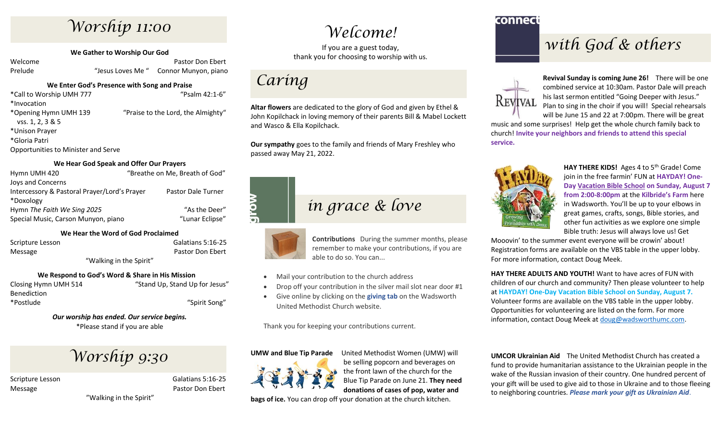### *Worship 11:00*

**We Gather to Worship Our God**

Welcome **Pastor Don Ebert** Pastor Don Ebert Prelude "Jesus Loves Me" Connor Munyon, piano

#### **We Enter God's Presence with Song and Praise**

\*Call to Worship UMH 777 "Psalm 42:1-6" \*Invocation \*Opening Hymn UMH 139 "Praise to the Lord, the Almighty" vss. 1, 2, 3 & 5 \*Unison Prayer \*Gloria Patri Opportunities to Minister and Serve

#### **We Hear God Speak and Offer Our Prayers**

| Hymn UMH 420                                 | "Breathe on Me, Breath of God" |
|----------------------------------------------|--------------------------------|
| Joys and Concerns                            |                                |
| Intercessory & Pastoral Prayer/Lord's Prayer | <b>Pastor Dale Turner</b>      |
| *Doxology                                    |                                |
| Hymn The Faith We Sing 2025                  | "As the Deer"                  |
| Special Music, Carson Munyon, piano          | "Lunar Eclipse"                |

#### **We Hear the Word of God Proclaimed**

Scripture Lesson Galatians 5:16-25 Message **Pastor Don Ebert** Pastor Don Ebert

"Walking in the Spirit"

#### **We Respond to God's Word & Share in His Mission**

Closing Hymn UMH 514 "Stand Up, Stand Up for Jesus" Benediction \*Postlude "Spirit Song"

> *Our worship has ended. Our service begins.* \*Please stand if you are able

# *Worship 9:30*

Scripture Lesson Galatians 5:16-25 Message **Pastor Don Ebert** Pastor Don Ebert

"Walking in the Spirit"

### *Welcome!*

If you are a guest today, thank you for choosing to worship with us.



MO

**Altar flowers** are dedicated to the glory of God and given by Ethel & John Kopilchack in loving memory of their parents Bill & Mabel Lockett and Wasco & Ella Kopilchack.

**Our sympathy** goes to the family and friends of Mary Freshley who passed away May 21, 2022.

# *in grace & love*

**Contributions** During the summer months, please remember to make your contributions, if you are able to do so. You can...

- Mail your contribution to the church address
- Drop off your contribution in the silver mail slot near door #1
- Give online by clicking on the **giving tab** on the Wadsworth United Methodist Church website.

Thank you for keeping your contributions current.

#### **UMW and Blue Tip Parade** United Methodist Women (UMW) will



be selling popcorn and beverages on the front lawn of the church for the Blue Tip Parade on June 21. **They need donations of cases of pop, water and** 

**bags of ice.** You can drop off your donation at the church kitchen.

### connect

### *with God & others*



**Revival Sunday is coming June 26!** There will be one combined service at 10:30am. Pastor Dale will preach his last sermon entitled "Going Deeper with Jesus." Plan to sing in the choir if you will! Special rehearsals will be June 15 and 22 at 7:00pm. There will be great

music and some surprises! Help get the whole church family back to church! **Invite your neighbors and friends to attend this special service.**



HAY THERE KIDS! Ages 4 to 5<sup>th</sup> Grade! Come join in the free farmin' FUN at **HAYDAY! One-Day Vacation Bible School on Sunday, August 7 from 2:00-8:00pm** at the **Kilbride's Farm** here in Wadsworth. You'll be up to your elbows in great games, crafts, songs, Bible stories, and other fun activities as we explore one simple Bible truth: Jesus will always love us! Get

Mooovin' to the summer event everyone will be crowin' about! Registration forms are available on the VBS table in the upper lobby. For more information, contact Doug Meek.

**HAY THERE ADULTS AND YOUTH!** Want to have acres of FUN with children of our church and community? Then please volunteer to help at **HAYDAY! One-Day Vacation Bible School on Sunday, August 7.** Volunteer forms are available on the VBS table in the upper lobby. Opportunities for volunteering are listed on the form. For more information, contact Doug Meek at [doug@wadsworthumc.com.](mailto:doug@wadsworthumc.com)

**UMCOR Ukrainian Aid** The United Methodist Church has created a fund to provide humanitarian assistance to the Ukrainian people in the wake of the Russian invasion of their country. One hundred percent of your gift will be used to give aid to those in Ukraine and to those fleeing to neighboring countries. *Please mark your gift as Ukrainian Aid*.